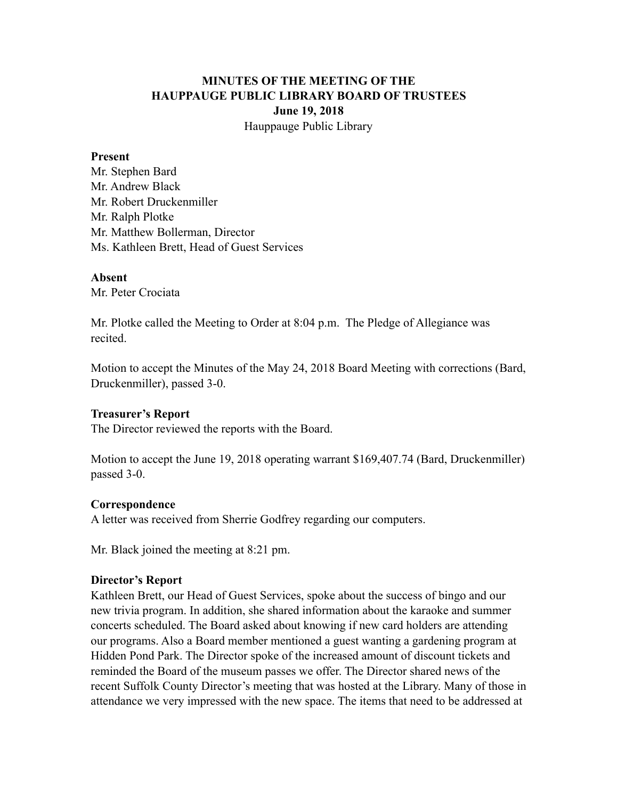# **MINUTES OF THE MEETING OF THE HAUPPAUGE PUBLIC LIBRARY BOARD OF TRUSTEES June 19, 2018** Hauppauge Public Library

#### **Present**

Mr. Stephen Bard Mr. Andrew Black Mr. Robert Druckenmiller Mr. Ralph Plotke Mr. Matthew Bollerman, Director Ms. Kathleen Brett, Head of Guest Services

#### **Absent**

Mr. Peter Crociata

Mr. Plotke called the Meeting to Order at 8:04 p.m. The Pledge of Allegiance was recited.

Motion to accept the Minutes of the May 24, 2018 Board Meeting with corrections (Bard, Druckenmiller), passed 3-0.

#### **Treasurer's Report**

The Director reviewed the reports with the Board.

Motion to accept the June 19, 2018 operating warrant \$169,407.74 (Bard, Druckenmiller) passed 3-0.

#### **Correspondence**

A letter was received from Sherrie Godfrey regarding our computers.

Mr. Black joined the meeting at 8:21 pm.

#### **Director's Report**

Kathleen Brett, our Head of Guest Services, spoke about the success of bingo and our new trivia program. In addition, she shared information about the karaoke and summer concerts scheduled. The Board asked about knowing if new card holders are attending our programs. Also a Board member mentioned a guest wanting a gardening program at Hidden Pond Park. The Director spoke of the increased amount of discount tickets and reminded the Board of the museum passes we offer. The Director shared news of the recent Suffolk County Director's meeting that was hosted at the Library. Many of those in attendance we very impressed with the new space. The items that need to be addressed at